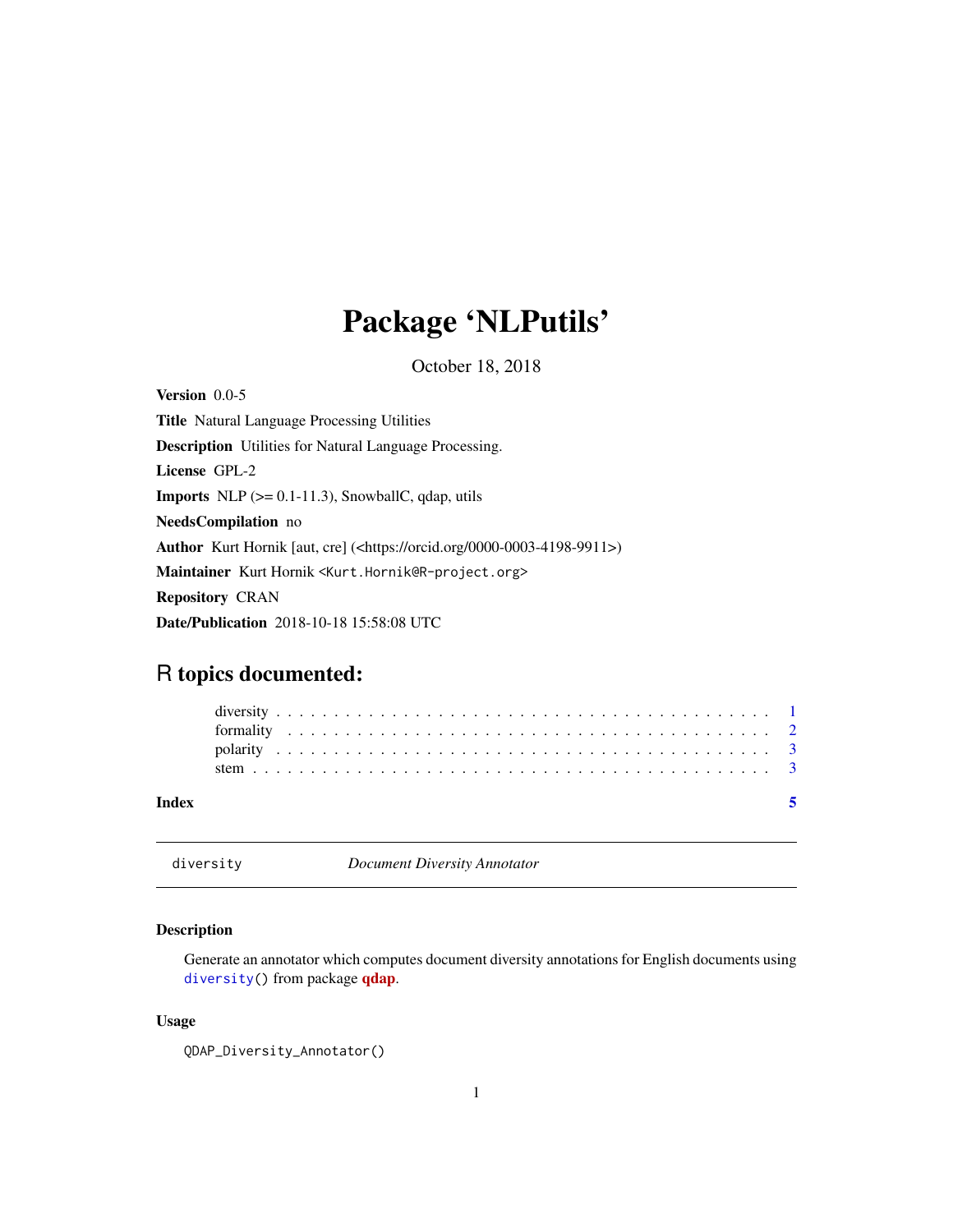## <span id="page-0-0"></span>Package 'NLPutils'

October 18, 2018

<span id="page-0-2"></span>Version 0.0-5 Title Natural Language Processing Utilities Description Utilities for Natural Language Processing. License GPL-2 **Imports** NLP  $(>= 0.1 - 11.3)$ , SnowballC, qdap, utils NeedsCompilation no Author Kurt Hornik [aut, cre] (<https://orcid.org/0000-0003-4198-9911>) Maintainer Kurt Hornik <Kurt.Hornik@R-project.org> Repository CRAN Date/Publication 2018-10-18 15:58:08 UTC

### R topics documented:

| Index |  |  |  |  |  |  |  |  |  |  |  |  |  |  |  |  |  |  |  |  |  |  |  |
|-------|--|--|--|--|--|--|--|--|--|--|--|--|--|--|--|--|--|--|--|--|--|--|--|
|       |  |  |  |  |  |  |  |  |  |  |  |  |  |  |  |  |  |  |  |  |  |  |  |
|       |  |  |  |  |  |  |  |  |  |  |  |  |  |  |  |  |  |  |  |  |  |  |  |
|       |  |  |  |  |  |  |  |  |  |  |  |  |  |  |  |  |  |  |  |  |  |  |  |
|       |  |  |  |  |  |  |  |  |  |  |  |  |  |  |  |  |  |  |  |  |  |  |  |

<span id="page-0-1"></span>diversity *Document Diversity Annotator*

#### Description

Generate an annotator which computes document diversity annotations for English documents using [diversity\(](#page-0-1)) from package **[qdap](https://CRAN.R-project.org/package=qdap)**.

#### Usage

```
QDAP_Diversity_Annotator()
```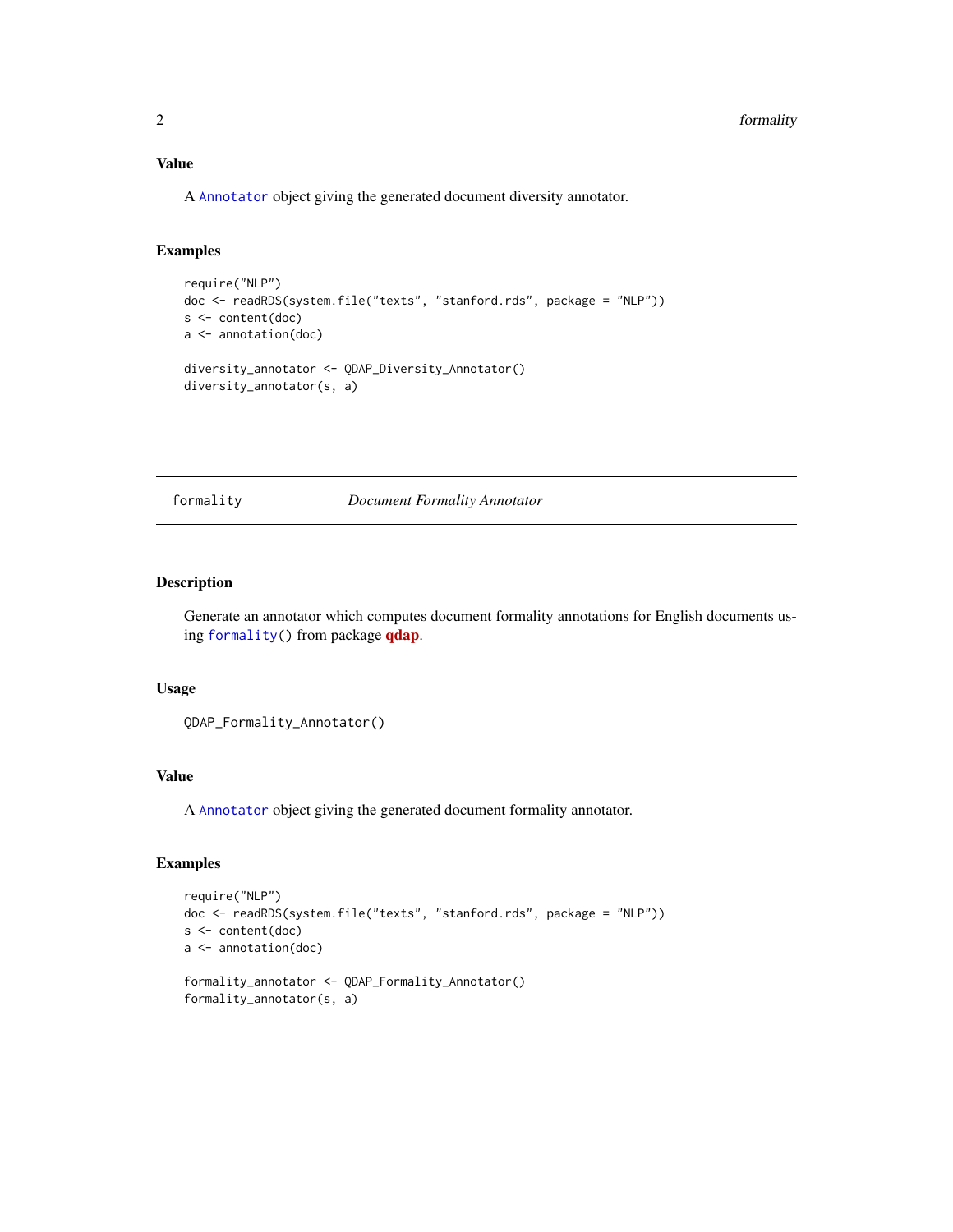#### <span id="page-1-0"></span>Value

A [Annotator](#page-0-2) object giving the generated document diversity annotator.

#### Examples

```
require("NLP")
doc <- readRDS(system.file("texts", "stanford.rds", package = "NLP"))
s <- content(doc)
a <- annotation(doc)
diversity_annotator <- QDAP_Diversity_Annotator()
diversity_annotator(s, a)
```
<span id="page-1-1"></span>formality *Document Formality Annotator*

#### Description

Generate an annotator which computes document formality annotations for English documents using [formality\(](#page-1-1)) from package [qdap](https://CRAN.R-project.org/package=qdap).

#### Usage

QDAP\_Formality\_Annotator()

#### Value

A [Annotator](#page-0-2) object giving the generated document formality annotator.

#### Examples

```
require("NLP")
doc <- readRDS(system.file("texts", "stanford.rds", package = "NLP"))
s <- content(doc)
a <- annotation(doc)
formality_annotator <- QDAP_Formality_Annotator()
formality_annotator(s, a)
```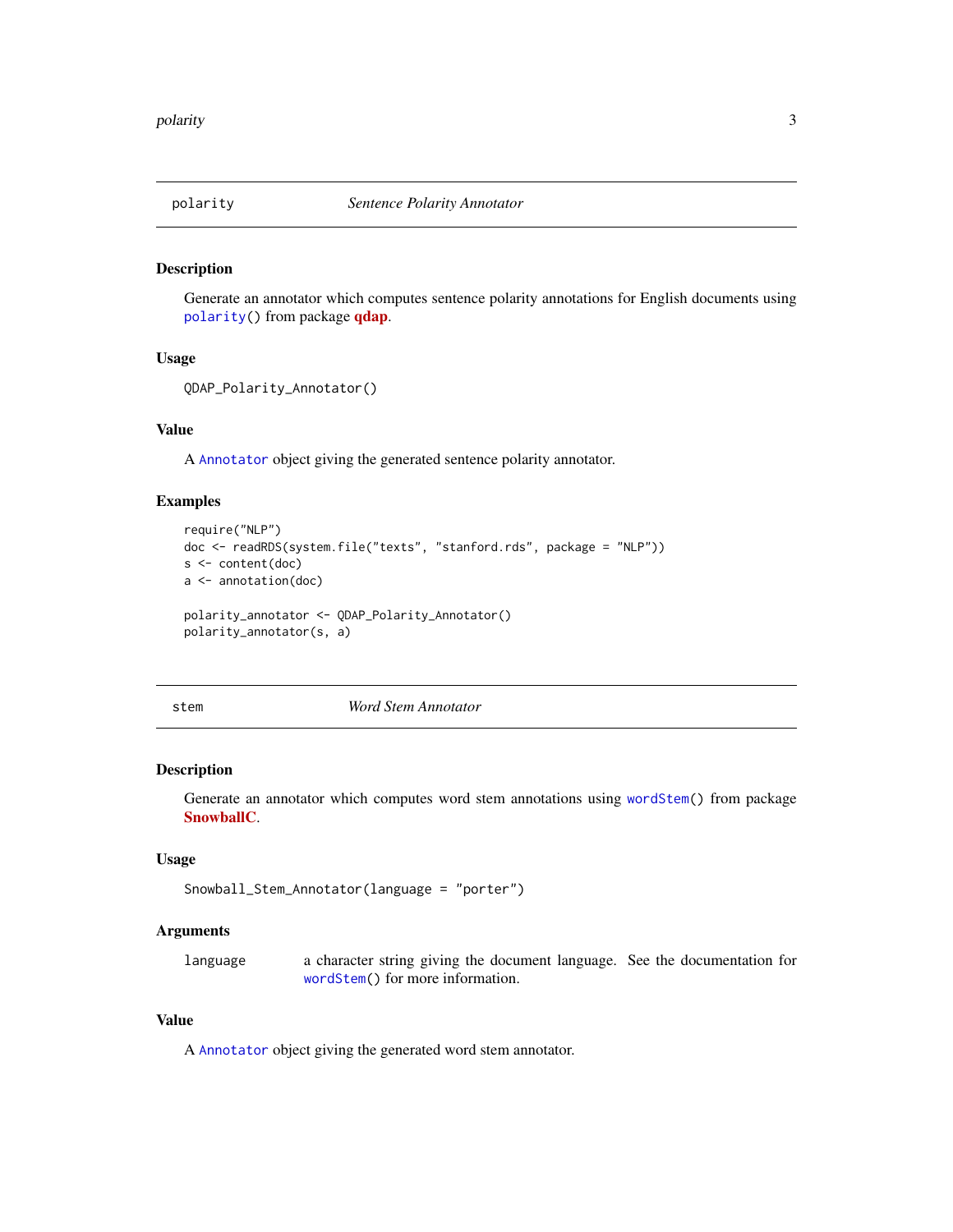<span id="page-2-1"></span><span id="page-2-0"></span>

#### Description

Generate an annotator which computes sentence polarity annotations for English documents using [polarity\(](#page-2-1)) from package [qdap](https://CRAN.R-project.org/package=qdap).

#### Usage

```
QDAP_Polarity_Annotator()
```
#### Value

A [Annotator](#page-0-2) object giving the generated sentence polarity annotator.

#### Examples

```
require("NLP")
doc <- readRDS(system.file("texts", "stanford.rds", package = "NLP"))
s <- content(doc)
a <- annotation(doc)
polarity_annotator <- QDAP_Polarity_Annotator()
polarity_annotator(s, a)
```
stem *Word Stem Annotator*

#### Description

Generate an annotator which computes word stem annotations using [wordStem\(](#page-0-2)) from package [SnowballC](https://CRAN.R-project.org/package=SnowballC).

#### Usage

```
Snowball_Stem_Annotator(language = "porter")
```
#### Arguments

language a character string giving the document language. See the documentation for [wordStem\(](#page-0-2)) for more information.

#### Value

A [Annotator](#page-0-2) object giving the generated word stem annotator.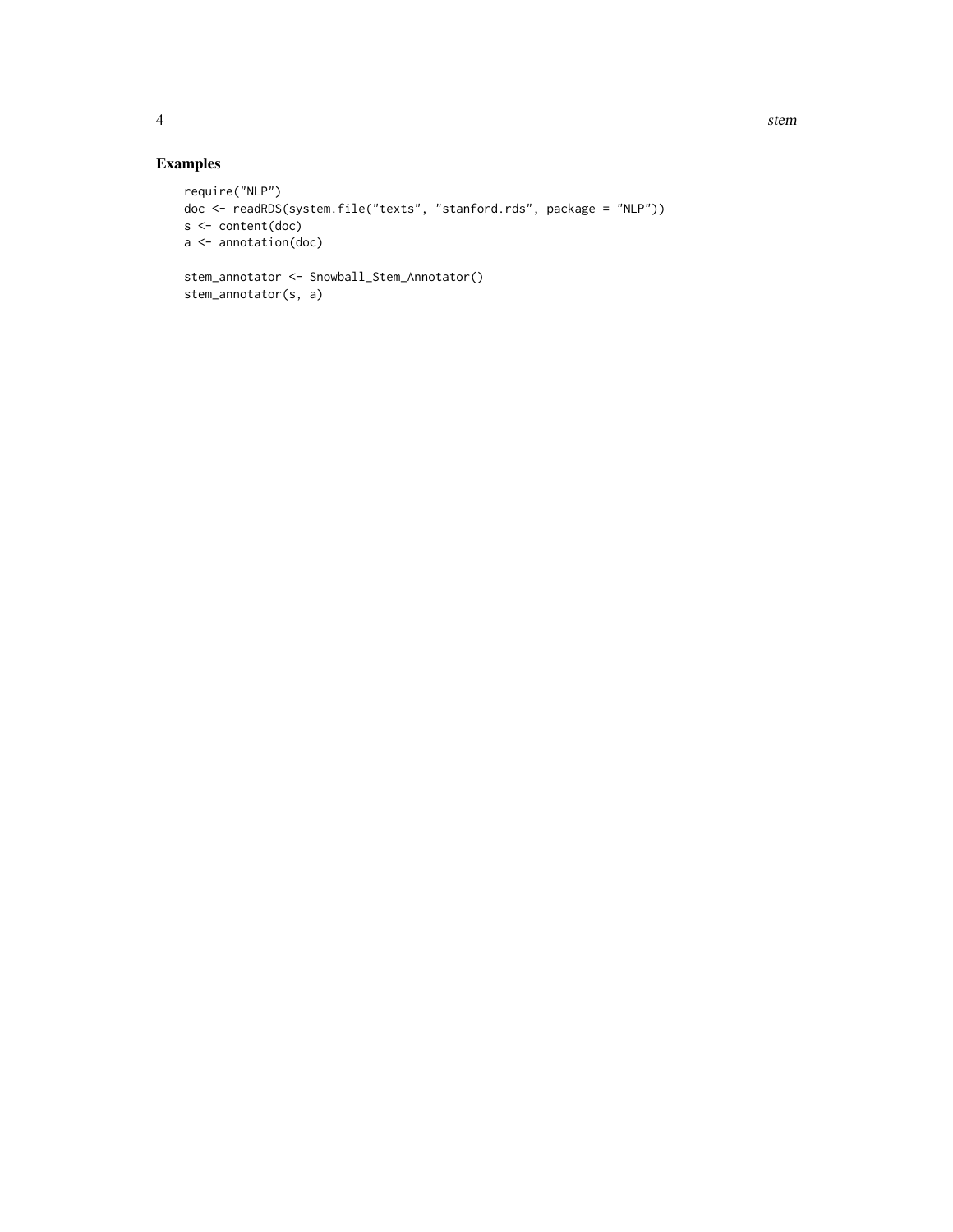### Examples

```
require("NLP")
doc <- readRDS(system.file("texts", "stanford.rds", package = "NLP"))
s <- content(doc)
a <- annotation(doc)
stem_annotator <- Snowball_Stem_Annotator()
stem_annotator(s, a)
```